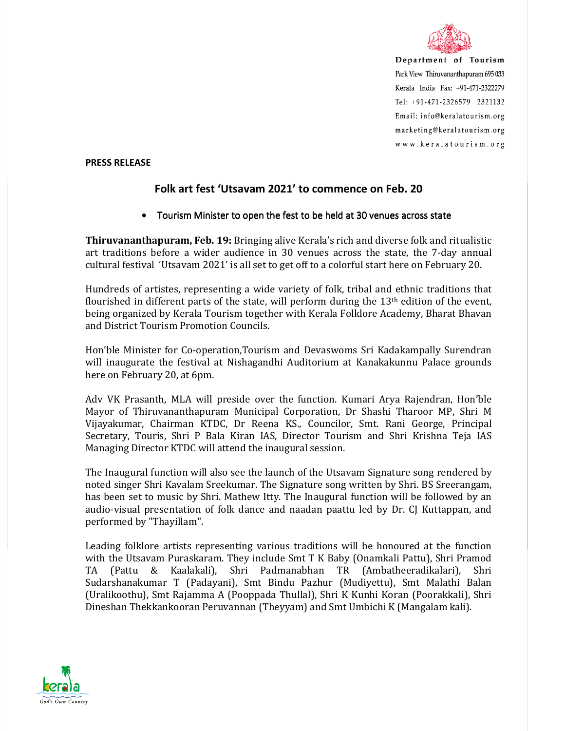

Department of Tourism Park View Thiruvananthapuram 695 033 Kerala India Fax: +91-471-2322279 Tel: +91-471-2326579 2321132 Email: info@keralatourism.org marketing@keralatourism.org www.keralatourism.org

## **PRESS RELEASE**

## **Folk art fest 'Utsavam 2021' to commence on Feb. 20**

## • Tourism Minister to open the fest to be held at 30 venues across state

**Thiruvananthapuram, Feb. 19:** Bringing alive Kerala's rich and diverse folk and ritualistic art traditions before a wider audience in 30 venues across the state, the 7-day annual cultural festival 'Utsavam 2021' is all set to get off to a colorful start here on February 20.

Hundreds of artistes, representing a wide variety of folk, tribal and ethnic traditions that flourished in different parts of the state, will perform during the  $13<sup>th</sup>$  edition of the event, being organized by Kerala Tourism together with Kerala Folklore Academy, Bharat Bhavan and District Tourism Promotion Councils.

Hon'ble Minister for Co-operation,Tourism and Devaswoms Sri Kadakampally Surendran will inaugurate the festival at Nishagandhi Auditorium at Kanakakunnu Palace grounds here on February 20, at 6pm.

Adv VK Prasanth, MLA will preside over the function. Kumari Arya Rajendran, Hon'ble Mayor of Thiruvananthapuram Municipal Corporation, Dr Shashi Tharoor MP, Shri M Vijayakumar, Chairman KTDC, Dr Reena KS., Councilor, Smt. Rani George, Principal Secretary, Touris, Shri P Bala Kiran IAS, Director Tourism and Shri Krishna Teja IAS Managing Director KTDC will attend the inaugural session.

The Inaugural function will also see the launch of the Utsavam Signature song rendered by noted singer Shri Kavalam Sreekumar. The Signature song written by Shri. BS Sreerangam, has been set to music by Shri. Mathew Itty. The Inaugural function will be followed by an audio-visual presentation of folk dance and naadan paattu led by Dr. CJ Kuttappan, and performed by "Thayillam".

Leading folklore artists representing various traditions will be honoured at the function with the Utsavam Puraskaram. They include Smt T K Baby (Onamkali Pattu), Shri Pramod TA (Pattu & Kaalakali), Shri Padmanabhan TR (Ambatheeradikalari), Shri Sudarshanakumar T (Padayani), Smt Bindu Pazhur (Mudiyettu), Smt Malathi Balan (Uralikoothu), Smt Rajamma A (Pooppada Thullal), Shri K Kunhi Koran (Poorakkali), Shri Dineshan Thekkankooran Peruvannan (Theyyam) and Smt Umbichi K (Mangalam kali).